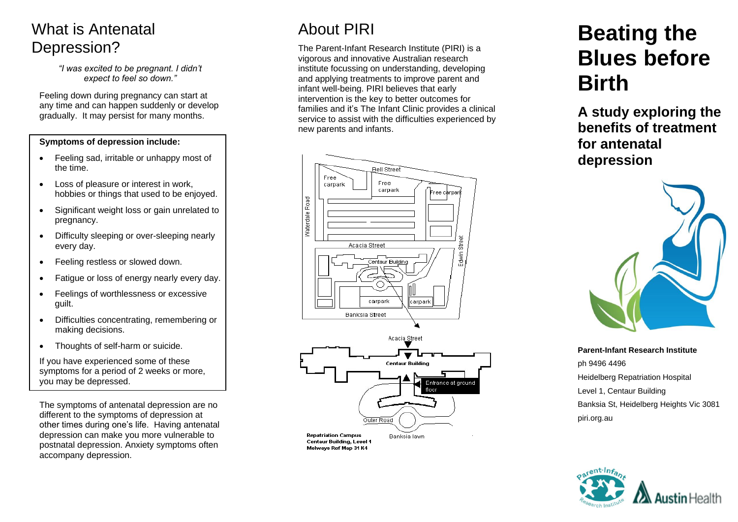### What is Antenatal Depression?

*"I was excited to be pregnant. I didn't expect to feel so down."*

Feeling down during pregnancy can start at any time and can happen suddenly or develop gradually. It may persist for many months.

#### **Symptoms of depression include:**

- Feeling sad, irritable or unhappy most of the time.
- Loss of pleasure or interest in work, hobbies or things that used to be enjoyed.
- Significant weight loss or gain unrelated to pregnancy.
- Difficulty sleeping or over-sleeping nearly every day.
- Feeling restless or slowed down.
- Fatigue or loss of energy nearly every day.
- Feelings of worthlessness or excessive guilt.
- Difficulties concentrating, remembering or making decisions.
- Thoughts of self-harm or suicide.

If you have experienced some of these symptoms for a period of 2 weeks or more, you may be depressed.

The symptoms of antenatal depression are no different to the symptoms of depression at other times during one's life. Having antenatal depression can make you more vulnerable to postnatal depression. Anxiety symptoms often accompany depression.

# About PIRI

The Parent-Infant Research Institute (PIRI) is a vigorous and innovative Australian research institute focussing on understanding, developing and applying treatments to improve parent and infant well-being. PIRI believes that early intervention is the key to better outcomes for families and it's The Infant Clinic provides a clinical service to assist with the difficulties experienced by new parents and infants.



# **Beating the Blues before Birth**

**A study exploring the benefits of treatment for antenatal depression**



**Parent-Infant Research Institute** ph 9496 4496 Heidelberg Repatriation Hospital Level 1, Centaur Building Banksia St, Heidelberg Heights Vic 3081 piri.org.au